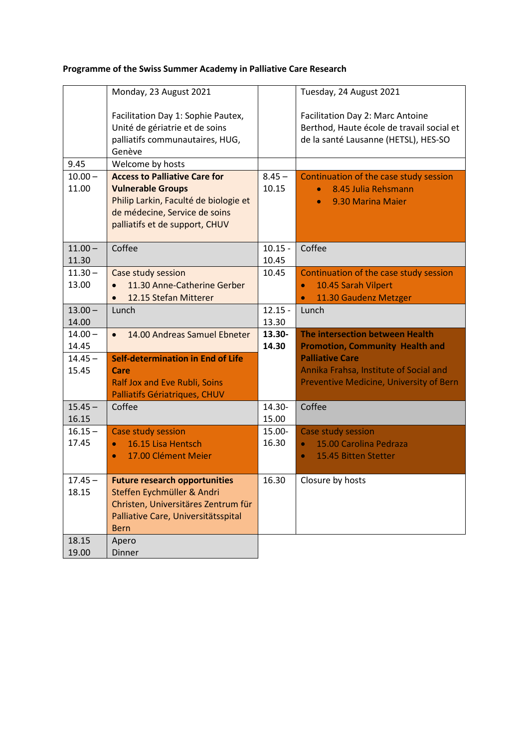# **Programme of the Swiss Summer Academy in Palliative Care Research**

|                    | Monday, 23 August 2021                                                                                                                                          |                    | Tuesday, 24 August 2021                                                                                               |
|--------------------|-----------------------------------------------------------------------------------------------------------------------------------------------------------------|--------------------|-----------------------------------------------------------------------------------------------------------------------|
|                    | Facilitation Day 1: Sophie Pautex,<br>Unité de gériatrie et de soins<br>palliatifs communautaires, HUG,<br>Genève                                               |                    | Facilitation Day 2: Marc Antoine<br>Berthod, Haute école de travail social et<br>de la santé Lausanne (HETSL), HES-SO |
| 9.45               | Welcome by hosts                                                                                                                                                |                    |                                                                                                                       |
| $10.00 -$          | <b>Access to Palliative Care for</b>                                                                                                                            | $8.45 -$           | Continuation of the case study session                                                                                |
| 11.00              | <b>Vulnerable Groups</b><br>Philip Larkin, Faculté de biologie et<br>de médecine, Service de soins<br>palliatifs et de support, CHUV                            | 10.15              | 8.45 Julia Rehsmann<br>9.30 Marina Maier                                                                              |
| $11.00 -$<br>11.30 | Coffee                                                                                                                                                          | $10.15 -$<br>10.45 | Coffee                                                                                                                |
| $11.30 -$<br>13.00 | Case study session<br>11.30 Anne-Catherine Gerber<br>12.15 Stefan Mitterer<br>$\bullet$                                                                         | 10.45              | Continuation of the case study session<br>10.45 Sarah Vilpert<br>$\bullet$<br>11.30 Gaudenz Metzger<br>$\bullet$      |
| $13.00 -$<br>14.00 | Lunch                                                                                                                                                           | $12.15 -$<br>13.30 | Lunch                                                                                                                 |
| $14.00 -$<br>14.45 | 14.00 Andreas Samuel Ebneter                                                                                                                                    | 13.30-<br>14.30    | The intersection between Health<br><b>Promotion, Community Health and</b>                                             |
| $14.45 -$<br>15.45 | <b>Self-determination in End of Life</b><br>Care<br>Ralf Jox and Eve Rubli, Soins<br>Palliatifs Gériatriques, CHUV                                              |                    | <b>Palliative Care</b><br>Annika Frahsa, Institute of Social and<br>Preventive Medicine, University of Bern           |
| $15.45 -$<br>16.15 | Coffee                                                                                                                                                          | 14.30-<br>15.00    | Coffee                                                                                                                |
| $16.15 -$          | Case study session                                                                                                                                              | 15.00-             | Case study session                                                                                                    |
| 17.45              | 16.15 Lisa Hentsch<br>$\bullet$                                                                                                                                 | 16.30              | 15.00 Carolina Pedraza                                                                                                |
|                    | 17.00 Clément Meier<br>$\bullet$                                                                                                                                |                    | 15.45 Bitten Stetter<br>$\bullet$                                                                                     |
| $17.45 -$<br>18.15 | <b>Future research opportunities</b><br>Steffen Eychmüller & Andri<br>Christen, Universitäres Zentrum für<br>Palliative Care, Universitätsspital<br><b>Bern</b> | 16.30              | Closure by hosts                                                                                                      |
| 18.15<br>19.00     | Apero<br>Dinner                                                                                                                                                 |                    |                                                                                                                       |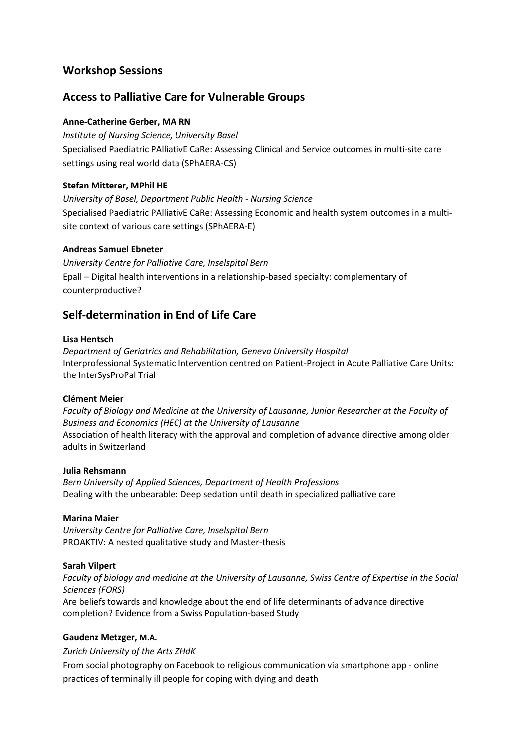# **Workshop Sessions**

## **Access to Palliative Care for Vulnerable Groups**

### **Anne-Catherine Gerber, MA RN**

*Institute of Nursing Science, University Basel* Specialised Paediatric PAlliativE CaRe: Assessing Clinical and Service outcomes in multi-site care settings using real world data (SPhAERA-CS)

### **Stefan Mitterer, MPhil HE**

*University of Basel, Department Public Health - Nursing Science* Specialised Paediatric PAlliativE CaRe: Assessing Economic and health system outcomes in a multisite context of various care settings (SPhAERA-E)

#### **Andreas Samuel Ebneter**

*University Centre for Palliative Care, Inselspital Bern* Epall – Digital health interventions in a relationship-based specialty: complementary of counterproductive?

# **Self-determination in End of Life Care**

#### **Lisa Hentsch**

*Department of Geriatrics and Rehabilitation, Geneva University Hospital* Interprofessional Systematic Intervention centred on Patient-Project in Acute Palliative Care Units: the InterSysProPal Trial

#### **Clément Meier**

*Faculty of Biology and Medicine at the University of Lausanne, Junior Researcher at the Faculty of Business and Economics (HEC) at the University of Lausanne* Association of health literacy with the approval and completion of advance directive among older adults in Switzerland

#### **Julia Rehsmann**

*Bern University of Applied Sciences, Department of Health Professions* Dealing with the unbearable: Deep sedation until death in specialized palliative care

#### **Marina Maier**

*University Centre for Palliative Care, Inselspital Bern* PROAKTIV: A nested qualitative study and Master-thesis

#### **Sarah Vilpert**

*Faculty of biology and medicine at the University of Lausanne, Swiss Centre of Expertise in the Social Sciences (FORS)*

Are beliefs towards and knowledge about the end of life determinants of advance directive completion? Evidence from a Swiss Population-based Study

#### **Gaudenz Metzger, M.A.**

#### *Zurich University of the Arts ZHdK*

From social photography on Facebook to religious communication via smartphone app - online practices of terminally ill people for coping with dying and death